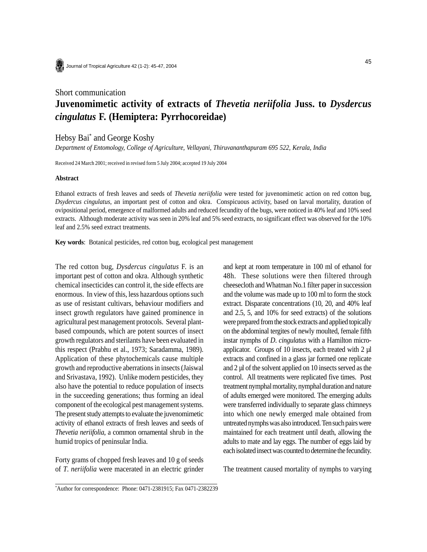

Journal of Tropical Agriculture 42 (1-2): 45-47, 2004

## Short communication **Juvenomimetic activity of extracts of** *Thevetia neriifolia* **Juss. to** *Dysdercus cingulatus* **F. (Hemiptera: Pyrrhocoreidae)**

## Hebsy Bai\* and George Koshy

*Department of Entomology, College of Agriculture, Vellayani, Thiruvananthapuram 695 522, Kerala, India*

Received 24 March 2001; received in revised form 5 July 2004; accepted 19 July 2004

## **Abstract**

Ethanol extracts of fresh leaves and seeds of *Thevetia neriifolia* were tested for juvenomimetic action on red cotton bug, *Dsydercus cingulatus,* an important pest of cotton and okra. Conspicuous activity, based on larval mortality, duration of ovipositional period, emergence of malformed adults and reduced fecundity of the bugs, were noticed in 40% leaf and 10% seed extracts. Although moderate activity was seen in 20% leaf and 5% seed extracts, no significant effect was observed for the 10% leaf and 2.5% seed extract treatments.

**Key words**: Botanical pesticides, red cotton bug, ecological pest management

The red cotton bug, *Dysdercus cingulatus* F. is an important pest of cotton and okra. Although synthetic chemical insecticides can control it, the side effects are enormous. In view of this, less hazardous options such as use of resistant cultivars, behaviour modifiers and insect growth regulators have gained prominence in agricultural pest management protocols. Several plantbased compounds, which are potent sources of insect growth regulators and sterilants have been evaluated in this respect (Prabhu et al., 1973; Saradamma, 1989). Application of these phytochemicals cause multiple growth and reproductive aberrations in insects (Jaiswal and Srivastava, 1992). Unlike modern pesticides, they also have the potential to reduce population of insects in the succeeding generations; thus forming an ideal component of the ecological pest management systems. The present study attempts to evaluate the juvenomimetic activity of ethanol extracts of fresh leaves and seeds of *Thevetia neriifolia*, a common ornamental shrub in the humid tropics of peninsular India.

Forty grams of chopped fresh leaves and 10 g of seeds of *T*. *neriifolia* were macerated in an electric grinder and kept at room temperature in 100 ml of ethanol for 48h. These solutions were then filtered through cheesecloth and Whatman No.1 filter paper in succession and the volume was made up to 100 ml to form the stock extract. Disparate concentrations (10, 20, and 40% leaf and 2.5, 5, and 10% for seed extracts) of the solutions were prepared from the stock extracts and applied topically on the abdominal tergites of newly moulted, female fifth instar nymphs of *D*. *cingulatus* with a Hamilton microapplicator. Groups of 10 insects, each treated with 2 µl extracts and confined in a glass jar formed one replicate and 2 µl of the solvent applied on 10 insects served as the control. All treatments were replicated five times. Post treatment nymphal mortality, nymphal duration and nature of adults emerged were monitored. The emerging adults were transferred individually to separate glass chimneys into which one newly emerged male obtained from untreated nymphs was also introduced. Ten such pairs were maintained for each treatment until death, allowing the adults to mate and lay eggs. The number of eggs laid by each isolated insect was counted to determine the fecundity.

The treatment caused mortality of nymphs to varying

<sup>\*</sup> Author for correspondence: Phone: 0471-2381915; Fax 0471-2382239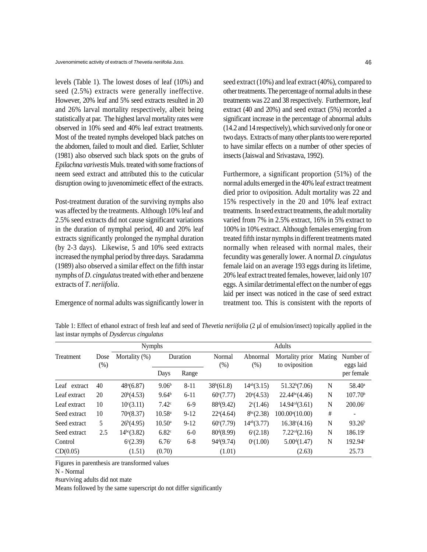levels (Table 1). The lowest doses of leaf (10%) and seed (2.5%) extracts were generally ineffective. However, 20% leaf and 5% seed extracts resulted in 20 and 26% larval mortality respectively, albeit being statistically at par. The highest larval mortality rates were observed in 10% seed and 40% leaf extract treatments. Most of the treated nymphs developed black patches on the abdomen, failed to moult and died. Earlier, Schluter (1981) also observed such black spots on the grubs of *Epilachna varivestis* Muls. treated with some fractions of neem seed extract and attributed this to the cuticular disruption owing to juvenomimetic effect of the extracts.

Post-treatment duration of the surviving nymphs also was affected by the treatments. Although 10% leaf and 2.5% seed extracts did not cause significant variations in the duration of nymphal period, 40 and 20% leaf extracts significantly prolonged the nymphal duration (by 2-3 days). Likewise, 5 and 10% seed extracts increased the nymphal period by three days. Saradamma (1989) also observed a similar effect on the fifth instar nymphs of *D*. *cingulatus* treated with ether and benzene extracts of *T*. *neriifolia*.

Emergence of normal adults was significantly lower in

seed extract (10%) and leaf extract (40%), compared to other treatments. The percentage of normal adults in these treatments was 22 and 38 respectively. Furthermore, leaf extract (40 and 20%) and seed extract (5%) recorded a significant increase in the percentage of abnormal adults (14.2 and 14 respectively), which survived only for one or two days. Extracts of many other plants too were reported to have similar effects on a number of other species of insects (Jaiswal and Srivastava, 1992).

Furthermore, a significant proportion (51%) of the normal adults emerged in the 40% leaf extract treatment died prior to oviposition. Adult mortality was 22 and 15% respectively in the 20 and 10% leaf extract treatments. In seed extract treatments, the adult mortality varied from 7% in 2.5% extract, 16% in 5% extract to 100% in 10% extract. Although females emerging from treated fifth instar nymphs in different treatments mated normally when released with normal males, their fecundity was generally lower. A normal *D*. *cingulatus* female laid on an average 193 eggs during its lifetime, 20% leaf extract treated females, however, laid only 107 eggs. A similar detrimental effect on the number of eggs laid per insect was noticed in the case of seed extract treatment too. This is consistent with the reports of

Table 1: Effect of ethanol extract of fresh leaf and seed of *Thevetia neriifolia* (2 µl of emulsion/insect) topically applied in the last instar nymphs of *Dysdercus cingulatus*

|              |              | <b>Nymphs</b>      |                   |          | Adults                 |                    |                                   |        |                        |
|--------------|--------------|--------------------|-------------------|----------|------------------------|--------------------|-----------------------------------|--------|------------------------|
| Treatment    | Dose<br>(% ) | Mortality $(\%)$   | Duration          |          | Normal<br>$(\%)$       | Abnormal<br>$(\%)$ | Mortality prior<br>to oviposition | Mating | Number of<br>eggs laid |
|              |              |                    | Days              | Range    |                        |                    |                                   |        | per female             |
| Leaf extract | 40           | $48^{\circ}(6.87)$ | 9.06 <sup>b</sup> | $8 - 11$ | 38 <sup>b</sup> (61.8) | $14^{ab}(3.15)$    | 51.32 <sup>b</sup> (7.06)         | N      | $58.40^{\circ}$        |
| Leaf extract | 20           | $20^b(4.53)$       | 9.64 <sup>b</sup> | $6 - 11$ | $60^{\circ}(7.77)$     | $20^{\circ}(4.53)$ | 22.44 <sup>bc</sup> (4.46)        | N      | 107.70 <sup>b</sup>    |
| Leaf extract | 10           | $10^{c}(3.11)$     | $7.42^{\circ}$    | $6-9$    | 88 <sup>d</sup> (9.42) | $2^{c}(1.46)$      | 14.94 <sup>cd</sup> (3.61)        | N      | $200.06^{\circ}$       |
| Seed extract | 10           | $70^{\circ}(8.37)$ | $10.58^{\circ}$   | $9-12$   | $22^a(4.64)$           | $8^{bc}(2.38)$     | $100.00^{\circ}(10.00)$           | #      |                        |
| Seed extract | 5            | $26^b(4.95)$       | $10.50^{\rm a}$   | $9-12$   | $60^{\circ}(7.79)$     | $14^{ab}(3.77)$    | $16.38^{\circ}(4.16)$             | N      | 93.26 <sup>b</sup>     |
| Seed extract | 2.5          | $14^{bc}(3.82)$    | 6.82 <sup>c</sup> | $6-0$    | $80^{\rm d}(8.99)$     | $6^{\circ}(2.18)$  | 7.22 <sup>cd</sup> (2.16)         | N      | 186.19°                |
| Control      |              | $6^{\circ}(2.39)$  | 6.76 <sup>c</sup> | $6 - 8$  | $94^{\text{d}}(9.74)$  | $0^{\circ}(1.00)$  | $5.00^{d}(1.47)$                  | N      | 192.94c                |
| CD(0.05)     |              | (1.51)             | (0.70)            |          | (1.01)                 |                    | (2.63)                            |        | 25.73                  |

Figures in parenthesis are transformed values

#surviving adults did not mate

Means followed by the same superscript do not differ significantly

N - Normal